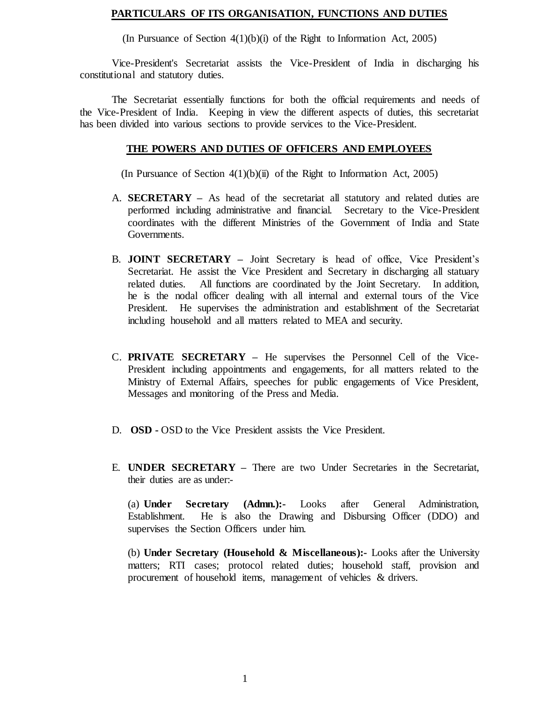### **PARTICULARS OF ITS ORGANISATION, FUNCTIONS AND DUTIES**

(In Pursuance of Section  $4(1)(b)(i)$  of the Right to Information Act, 2005)

Vice-President's Secretariat assists the Vice-President of India in discharging his constitutional and statutory duties.

The Secretariat essentially functions for both the official requirements and needs of the Vice-President of India. Keeping in view the different aspects of duties, this secretariat has been divided into various sections to provide services to the Vice-President.

#### **THE POWERS AND DUTIES OF OFFICERS AND EMPLOYEES**

(In Pursuance of Section  $4(1)(b)(ii)$  of the Right to Information Act, 2005)

- A. **SECRETARY –** As head of the secretariat all statutory and related duties are performed including administrative and financial. Secretary to the Vice-President coordinates with the different Ministries of the Government of India and State Governments.
- B. **JOINT SECRETARY –** Joint Secretary is head of office, Vice President's Secretariat. He assist the Vice President and Secretary in discharging all statuary related duties. All functions are coordinated by the Joint Secretary. In addition, he is the nodal officer dealing with all internal and external tours of the Vice President. He supervises the administration and establishment of the Secretariat including household and all matters related to MEA and security.
- C. **PRIVATE SECRETARY –** He supervises the Personnel Cell of the Vice-President including appointments and engagements, for all matters related to the Ministry of External Affairs, speeches for public engagements of Vice President, Messages and monitoring of the Press and Media.
- D. **OSD -** OSD to the Vice President assists the Vice President.
- E. **UNDER SECRETARY –** There are two Under Secretaries in the Secretariat, their duties are as under:-

(a) **Under Secretary (Admn.):-** Looks after General Administration, Establishment. He is also the Drawing and Disbursing Officer (DDO) and supervises the Section Officers under him.

(b) **Under Secretary (Household & Miscellaneous):-** Looks after the University matters; RTI cases; protocol related duties; household staff, provision and procurement of household items, management of vehicles & drivers.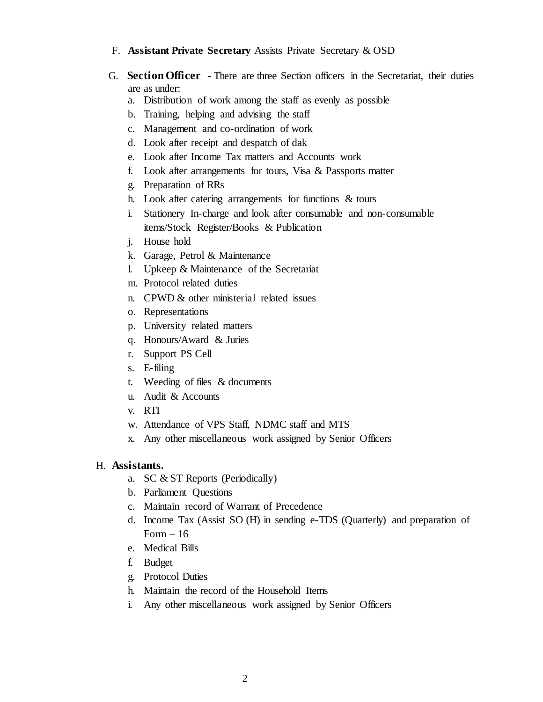### F. **Assistant Private Secretary** Assists Private Secretary & OSD

- G. **Section Officer** There are three Section officers in the Secretariat, their duties are as under:
	- a. Distribution of work among the staff as evenly as possible
	- b. Training, helping and advising the staff
	- c. Management and co-ordination of work
	- d. Look after receipt and despatch of dak
	- e. Look after Income Tax matters and Accounts work
	- f. Look after arrangements for tours, Visa & Passports matter
	- g. Preparation of RRs
	- h. Look after catering arrangements for functions & tours
	- i. Stationery In-charge and look after consumable and non-consumable items/Stock Register/Books & Publication
	- j. House hold
	- k. Garage, Petrol & Maintenance
	- l. Upkeep & Maintenance of the Secretariat
	- m. Protocol related duties
	- n. CPWD & other ministerial related issues
	- o. Representations
	- p. University related matters
	- q. Honours/Award & Juries
	- r. Support PS Cell
	- s. E-filing
	- t. Weeding of files & documents
	- u. Audit & Accounts
	- v. RTI
	- w. Attendance of VPS Staff, NDMC staff and MTS
	- x. Any other miscellaneous work assigned by Senior Officers

# H. **Assistants.**

- a. SC & ST Reports (Periodically)
- b. Parliament Questions
- c. Maintain record of Warrant of Precedence
- d. Income Tax (Assist SO (H) in sending e-TDS (Quarterly) and preparation of Form  $-16$
- e. Medical Bills
- f. Budget
- g. Protocol Duties
- h. Maintain the record of the Household Items
- i. Any other miscellaneous work assigned by Senior Officers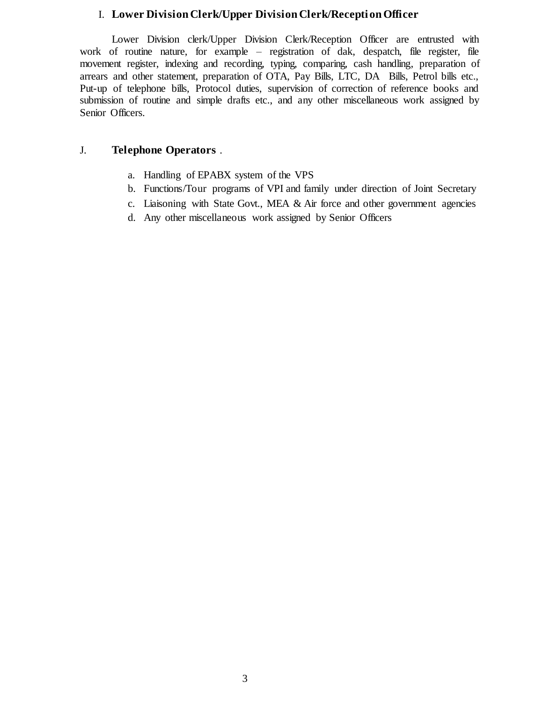### I. **Lower Division Clerk/Upper Division Clerk/Recepti on Officer**

Lower Division clerk/Upper Division Clerk/Reception Officer are entrusted with work of routine nature, for example – registration of dak, despatch, file register, file movement register, indexing and recording, typing, comparing, cash handling, preparation of arrears and other statement, preparation of OTA, Pay Bills, LTC, DA Bills, Petrol bills etc., Put-up of telephone bills, Protocol duties, supervision of correction of reference books and submission of routine and simple drafts etc., and any other miscellaneous work assigned by Senior Officers.

### J. **Telephone Operators** .

- a. Handling of EPABX system of the VPS
- b. Functions/Tour programs of VPI and family under direction of Joint Secretary
- c. Liaisoning with State Govt., MEA & Air force and other government agencies
- d. Any other miscellaneous work assigned by Senior Officers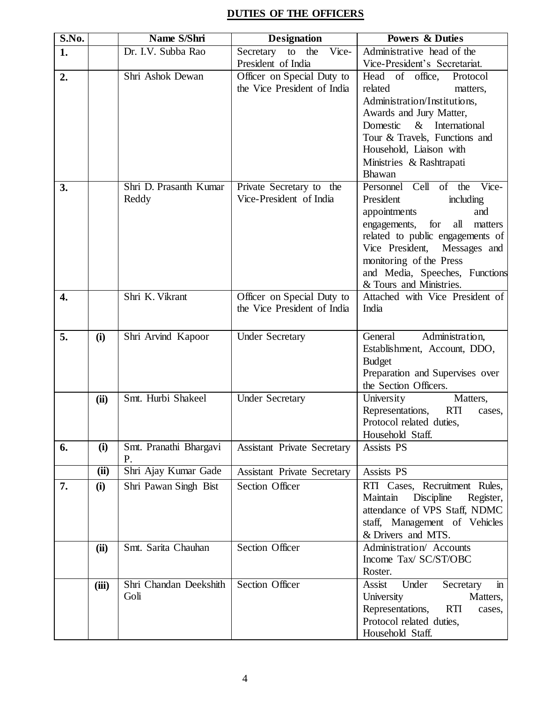# **DUTIES OF THE OFFICERS**

| $\overline{\textbf{S.N}}$ o. |       | Name S/Shri                | <b>Designation</b>                 | <b>Powers &amp; Duties</b>                                          |
|------------------------------|-------|----------------------------|------------------------------------|---------------------------------------------------------------------|
| 1.                           |       | Dr. I.V. Subba Rao         | Vice-<br>Secretary to the          | Administrative head of the                                          |
|                              |       |                            | President of India                 | Vice-President's Secretariat.                                       |
| 2.                           |       | Shri Ashok Dewan           | Officer on Special Duty to         | Head of office,<br>Protocol                                         |
|                              |       |                            | the Vice President of India        | related<br>matters,                                                 |
|                              |       |                            |                                    | Administration/Institutions,                                        |
|                              |       |                            |                                    | Awards and Jury Matter,                                             |
|                              |       |                            |                                    | $\&$<br>Domestic<br>International                                   |
|                              |       |                            |                                    | Tour & Travels, Functions and                                       |
|                              |       |                            |                                    | Household, Liaison with                                             |
|                              |       |                            |                                    | Ministries & Rashtrapati                                            |
|                              |       |                            |                                    | <b>Bhawan</b>                                                       |
| 3.                           |       | Shri D. Prasanth Kumar     | Private Secretary to the           | Personnel Cell of the<br>Vice-                                      |
|                              |       | Reddy                      | Vice-President of India            | President<br>including                                              |
|                              |       |                            |                                    | appointments<br>and                                                 |
|                              |       |                            |                                    | all<br>for<br>engagements,<br>matters                               |
|                              |       |                            |                                    | related to public engagements of<br>Vice President,<br>Messages and |
|                              |       |                            |                                    | monitoring of the Press                                             |
|                              |       |                            |                                    | and Media, Speeches, Functions                                      |
|                              |       |                            |                                    | & Tours and Ministries.                                             |
| 4.                           |       | Shri K. Vikrant            | Officer on Special Duty to         | Attached with Vice President of                                     |
|                              |       |                            | the Vice President of India        | India                                                               |
|                              |       |                            |                                    |                                                                     |
| 5.                           | (i)   | Shri Arvind Kapoor         | <b>Under Secretary</b>             | Administration,<br>General                                          |
|                              |       |                            |                                    | Establishment, Account, DDO,                                        |
|                              |       |                            |                                    | <b>Budget</b>                                                       |
|                              |       |                            |                                    | Preparation and Supervises over                                     |
|                              |       |                            |                                    | the Section Officers.                                               |
|                              | (ii)  | Smt. Hurbi Shakeel         | <b>Under Secretary</b>             | University<br>Matters,                                              |
|                              |       |                            |                                    | Representations,<br><b>RTI</b><br>cases,                            |
|                              |       |                            |                                    | Protocol related duties,                                            |
|                              |       |                            |                                    | Household Staff.                                                    |
| 6.                           | (i)   | Smt. Pranathi Bhargavi     | <b>Assistant Private Secretary</b> | Assists PS                                                          |
|                              | (ii)  | Р.<br>Shri Ajay Kumar Gade | <b>Assistant Private Secretary</b> | Assists PS                                                          |
| 7.                           | (i)   | Shri Pawan Singh Bist      | <b>Section Officer</b>             | RTI Cases, Recruitment Rules,                                       |
|                              |       |                            |                                    | Maintain<br>Discipline<br>Register,                                 |
|                              |       |                            |                                    | attendance of VPS Staff, NDMC                                       |
|                              |       |                            |                                    | staff, Management of Vehicles                                       |
|                              |       |                            |                                    | & Drivers and MTS.                                                  |
|                              | (ii)  | Smt. Sarita Chauhan        | <b>Section Officer</b>             | Administration/ Accounts                                            |
|                              |       |                            |                                    | Income Tax/ SC/ST/OBC                                               |
|                              |       |                            |                                    | Roster.                                                             |
|                              | (iii) | Shri Chandan Deekshith     | Section Officer                    | $\mathbf{in}$<br>Under<br><b>Assist</b><br>Secretary                |
|                              |       | Goli                       |                                    | Matters,<br>University                                              |
|                              |       |                            |                                    | Representations,<br><b>RTI</b><br>cases,                            |
|                              |       |                            |                                    | Protocol related duties,                                            |
|                              |       |                            |                                    | Household Staff.                                                    |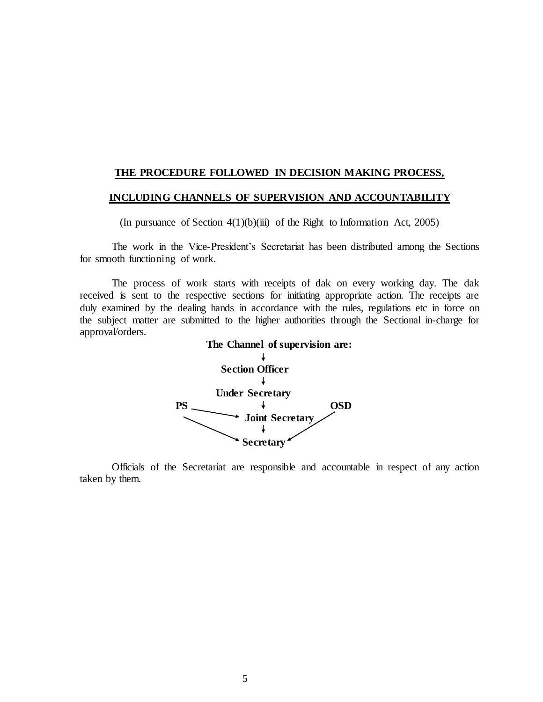#### **THE PROCEDURE FOLLOWED IN DECISION MAKING PROCESS,**

#### **INCLUDING CHANNELS OF SUPERVISION AND ACCOUNTABILITY**

(In pursuance of Section  $4(1)(b)(iii)$  of the Right to Information Act, 2005)

The work in the Vice-President's Secretariat has been distributed among the Sections for smooth functioning of work.

The process of work starts with receipts of dak on every working day. The dak received is sent to the respective sections for initiating appropriate action. The receipts are duly examined by the dealing hands in accordance with the rules, regulations etc in force on the subject matter are submitted to the higher authorities through the Sectional in-charge for approval/orders.



Officials of the Secretariat are responsible and accountable in respect of any action taken by them.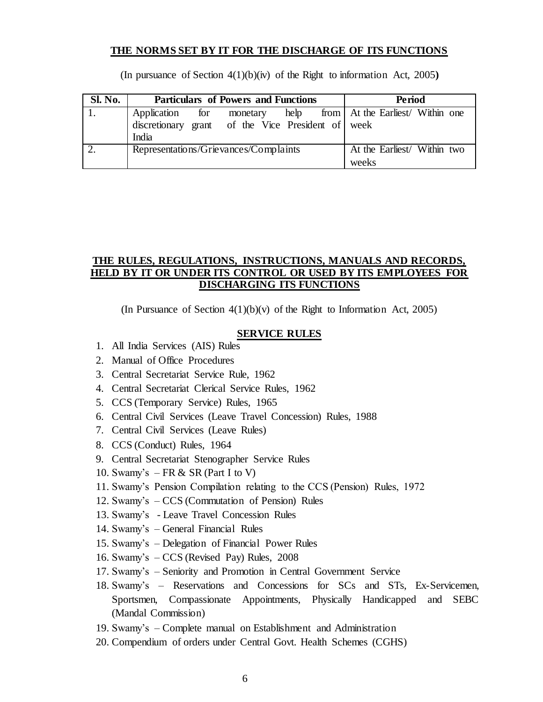### **THE NORMS SET BY IT FOR THE DISCHARGE OF ITS FUNCTIONS**

(In pursuance of Section 4(1)(b)(iv) of the Right to information Act, 2005**)** 

| <b>Sl. No.</b> | <b>Particulars of Powers and Functions</b>        | <b>Period</b>                        |
|----------------|---------------------------------------------------|--------------------------------------|
|                | Application for monetary                          | help from At the Earliest Within one |
|                | discretionary grant of the Vice President of week |                                      |
|                | India                                             |                                      |
|                | Representations/Grievances/Complaints             | At the Earliest/ Within two          |
|                |                                                   | weeks                                |

### **THE RULES, REGULATIONS, INSTRUCTIONS, MANUALS AND RECORDS, HELD BY IT OR UNDER ITS CONTROL OR USED BY ITS EMPLOYEES FOR DISCHARGING ITS FUNCTIONS**

(In Pursuance of Section  $4(1)(b)(v)$  of the Right to Information Act, 2005)

#### **SERVICE RULES**

- 1. All India Services (AIS) Rules
- 2. Manual of Office Procedures
- 3. Central Secretariat Service Rule, 1962
- 4. Central Secretariat Clerical Service Rules, 1962
- 5. CCS (Temporary Service) Rules, 1965
- 6. Central Civil Services (Leave Travel Concession) Rules, 1988
- 7. Central Civil Services (Leave Rules)
- 8. CCS (Conduct) Rules, 1964
- 9. Central Secretariat Stenographer Service Rules
- 10. Swamy's  $-FR & SR (Part I to V)$
- 11. Swamy's Pension Compilation relating to the CCS (Pension) Rules, 1972
- 12. Swamy's CCS (Commutation of Pension) Rules
- 13. Swamy's Leave Travel Concession Rules
- 14. Swamy's General Financial Rules
- 15. Swamy's Delegation of Financial Power Rules
- 16. Swamy's CCS (Revised Pay) Rules, 2008
- 17. Swamy's Seniority and Promotion in Central Government Service
- 18. Swamy's Reservations and Concessions for SCs and STs, Ex-Servicemen, Sportsmen, Compassionate Appointments, Physically Handicapped and SEBC (Mandal Commission)
- 19. Swamy's Complete manual on Establishment and Administration
- 20. Compendium of orders under Central Govt. Health Schemes (CGHS)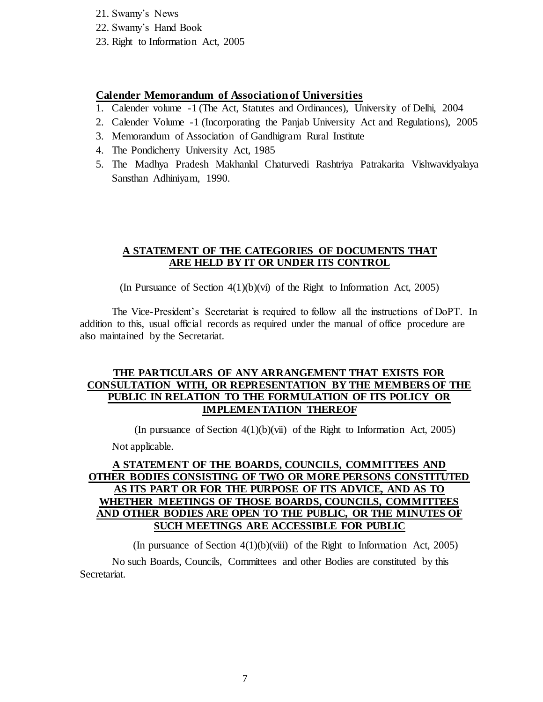- 21. Swamy's News
- 22. Swamy's Hand Book
- 23. Right to Information Act, 2005

### **Calender Memorandum of Association of Universities**

- 1. Calender volume -1 (The Act, Statutes and Ordinances), University of Delhi, 2004
- 2. Calender Volume -1 (Incorporating the Panjab University Act and Regulations), 2005
- 3. Memorandum of Association of Gandhigram Rural Institute
- 4. The Pondicherry University Act, 1985
- 5. The Madhya Pradesh Makhanlal Chaturvedi Rashtriya Patrakarita Vishwavidyalaya Sansthan Adhiniyam, 1990.

### **A STATEMENT OF THE CATEGORIES OF DOCUMENTS THAT ARE HELD BY IT OR UNDER ITS CONTROL**

(In Pursuance of Section 4(1)(b)(vi) of the Right to Information Act, 2005)

The Vice-President's Secretariat is required to follow all the instructions of DoPT. In addition to this, usual official records as required under the manual of office procedure are also maintained by the Secretariat.

### **THE PARTICULARS OF ANY ARRANGEMENT THAT EXISTS FOR CONSULTATION WITH, OR REPRESENTATION BY THE MEMBERS OF THE PUBLIC IN RELATION TO THE FORMULATION OF ITS POLICY OR IMPLEMENTATION THEREOF**

(In pursuance of Section  $4(1)(b)(vii)$  of the Right to Information Act, 2005)

Not applicable.

# **A STATEMENT OF THE BOARDS, COUNCILS, COMMITTEES AND OTHER BODIES CONSISTING OF TWO OR MORE PERSONS CONSTITUTED AS ITS PART OR FOR THE PURPOSE OF ITS ADVICE, AND AS TO WHETHER MEETINGS OF THOSE BOARDS, COUNCILS, COMMITTEES AND OTHER BODIES ARE OPEN TO THE PUBLIC, OR THE MINUTES OF SUCH MEETINGS ARE ACCESSIBLE FOR PUBLIC**

(In pursuance of Section 4(1)(b)(viii) of the Right to Information Act, 2005) No such Boards, Councils, Committees and other Bodies are constituted by this Secretariat.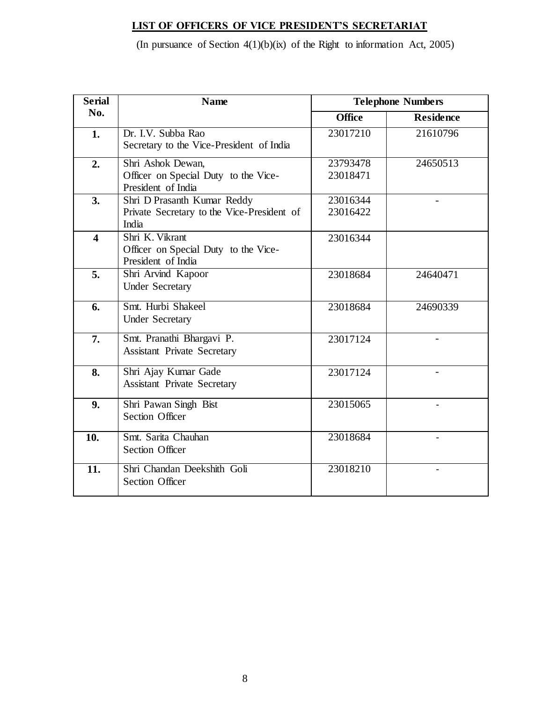# **LIST OF OFFICERS OF VICE PRESIDENT'S SECRETARIAT**

(In pursuance of Section  $4(1)(b)(ix)$  of the Right to information Act, 2005)

| <b>Serial</b>           | <b>Name</b>                                                                        |                      | <b>Telephone Numbers</b> |
|-------------------------|------------------------------------------------------------------------------------|----------------------|--------------------------|
| No.                     |                                                                                    | <b>Office</b>        | <b>Residence</b>         |
| 1.                      | Dr. I.V. Subba Rao<br>Secretary to the Vice-President of India                     | 23017210             | 21610796                 |
| 2.                      | Shri Ashok Dewan,<br>Officer on Special Duty to the Vice-<br>President of India    | 23793478<br>23018471 | 24650513                 |
| 3.                      | Shri D Prasanth Kumar Reddy<br>Private Secretary to the Vice-President of<br>India | 23016344<br>23016422 |                          |
| $\overline{\mathbf{4}}$ | Shri K. Vikrant<br>Officer on Special Duty to the Vice-<br>President of India      | 23016344             |                          |
| 5.                      | Shri Arvind Kapoor<br><b>Under Secretary</b>                                       | 23018684             | 24640471                 |
| 6.                      | Smt. Hurbi Shakeel<br><b>Under Secretary</b>                                       | 23018684             | 24690339                 |
| 7.                      | Smt. Pranathi Bhargavi P.<br><b>Assistant Private Secretary</b>                    | 23017124             |                          |
| 8.                      | Shri Ajay Kumar Gade<br><b>Assistant Private Secretary</b>                         | 23017124             |                          |
| 9.                      | Shri Pawan Singh Bist<br><b>Section Officer</b>                                    | 23015065             |                          |
| 10.                     | Smt. Sarita Chauhan<br><b>Section Officer</b>                                      | 23018684             |                          |
| 11.                     | Shri Chandan Deekshith Goli<br><b>Section Officer</b>                              | 23018210             |                          |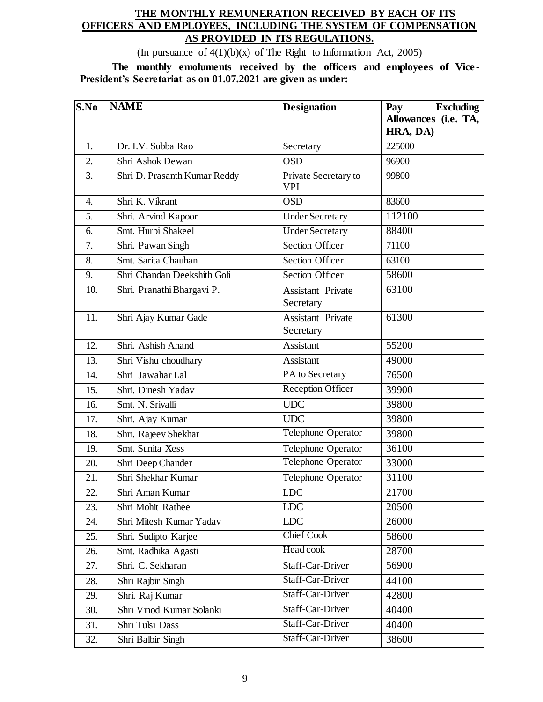# **THE MONTHLY REMUNERATION RECEIVED BY EACH OF ITS OFFICERS AND EMPLOYEES, INCLUDING THE SYSTEM OF COMPENSATION AS PROVIDED IN ITS REGULATIONS.**

(In pursuance of  $4(1)(b)(x)$  of The Right to Information Act, 2005)

**The monthly emoluments received by the officers and employees of Vice - President's Secretariat as on 01.07.2021 are given as under:**

| S.No | <b>NAME</b>                  | <b>Designation</b>                    | <b>Excluding</b><br>Pay          |
|------|------------------------------|---------------------------------------|----------------------------------|
|      |                              |                                       | Allowances (i.e. TA,<br>HRA, DA) |
| 1.   | Dr. I.V. Subba Rao           | Secretary                             | 225000                           |
| 2.   | Shri Ashok Dewan             | <b>OSD</b>                            | 96900                            |
| 3.   | Shri D. Prasanth Kumar Reddy | Private Secretary to<br><b>VPI</b>    | 99800                            |
| 4.   | Shri K. Vikrant              | <b>OSD</b>                            | 83600                            |
| 5.   | Shri. Arvind Kapoor          | <b>Under Secretary</b>                | 112100                           |
| 6.   | Smt. Hurbi Shakeel           | <b>Under Secretary</b>                | 88400                            |
| 7.   | Shri. Pawan Singh            | <b>Section Officer</b>                | 71100                            |
| 8.   | Smt. Sarita Chauhan          | <b>Section Officer</b>                | 63100                            |
| 9.   | Shri Chandan Deekshith Goli  | <b>Section Officer</b>                | 58600                            |
| 10.  | Shri. Pranathi Bhargavi P.   | <b>Assistant Private</b><br>Secretary | 63100                            |
| 11.  | Shri Ajay Kumar Gade         | <b>Assistant Private</b><br>Secretary | 61300                            |
| 12.  | Shri. Ashish Anand           | <b>Assistant</b>                      | 55200                            |
| 13.  | Shri Vishu choudhary         | Assistant                             | 49000                            |
| 14.  | Shri Jawahar Lal             | PA to Secretary                       | 76500                            |
| 15.  | Shri. Dinesh Yadav           | <b>Reception Officer</b>              | 39900                            |
| 16.  | Smt. N. Srivalli             | <b>UDC</b>                            | 39800                            |
| 17.  | Shri. Ajay Kumar             | <b>UDC</b>                            | 39800                            |
| 18.  | Shri. Rajeev Shekhar         | <b>Telephone Operator</b>             | 39800                            |
| 19.  | Smt. Sunita Xess             | Telephone Operator                    | 36100                            |
| 20.  | Shri Deep Chander            | Telephone Operator                    | 33000                            |
| 21.  | Shri Shekhar Kumar           | Telephone Operator                    | 31100                            |
| 22.  | Shri Aman Kumar              | <b>LDC</b>                            | 21700                            |
| 23.  | Shri Mohit Rathee            | <b>LDC</b>                            | 20500                            |
| 24.  | Shri Mitesh Kumar Yadav      | <b>LDC</b>                            | 26000                            |
| 25.  | Shri. Sudipto Karjee         | <b>Chief Cook</b>                     | 58600                            |
| 26.  | Smt. Radhika Agasti          | Head cook                             | 28700                            |
| 27.  | Shri. C. Sekharan            | Staff-Car-Driver                      | 56900                            |
| 28.  | Shri Rajbir Singh            | Staff-Car-Driver                      | 44100                            |
| 29.  | Shri. Raj Kumar              | Staff-Car-Driver                      | 42800                            |
| 30.  | Shri Vinod Kumar Solanki     | Staff-Car-Driver                      | 40400                            |
| 31.  | Shri Tulsi Dass              | Staff-Car-Driver                      | 40400                            |
| 32.  | Shri Balbir Singh            | Staff-Car-Driver                      | 38600                            |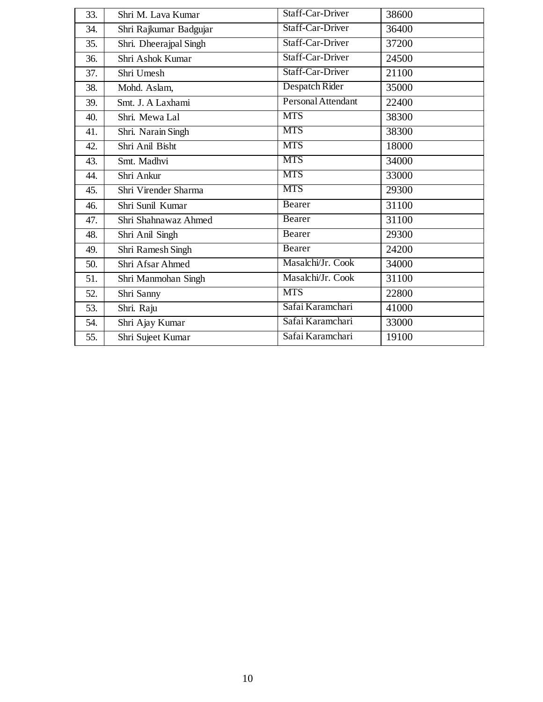| 33. | Shri M. Lava Kumar     | Staff-Car-Driver   | 38600 |
|-----|------------------------|--------------------|-------|
| 34. | Shri Rajkumar Badgujar | Staff-Car-Driver   | 36400 |
| 35. | Shri. Dheerajpal Singh | Staff-Car-Driver   | 37200 |
| 36. | Shri Ashok Kumar       | Staff-Car-Driver   | 24500 |
| 37. | Shri Umesh             | Staff-Car-Driver   | 21100 |
| 38. | Mohd. Aslam,           | Despatch Rider     | 35000 |
| 39. | Smt. J. A Laxhami      | Personal Attendant | 22400 |
| 40. | Shri. Mewa Lal         | <b>MTS</b>         | 38300 |
| 41. | Shri. Narain Singh     | <b>MTS</b>         | 38300 |
| 42. | Shri Anil Bisht        | <b>MTS</b>         | 18000 |
| 43. | Smt. Madhvi            | <b>MTS</b>         | 34000 |
| 44. | Shri Ankur             | <b>MTS</b>         | 33000 |
| 45. | Shri Virender Sharma   | <b>MTS</b>         | 29300 |
| 46. | Shri Sunil Kumar       | Bearer             | 31100 |
| 47. | Shri Shahnawaz Ahmed   | Bearer             | 31100 |
| 48. | Shri Anil Singh        | Bearer             | 29300 |
| 49. | Shri Ramesh Singh      | Bearer             | 24200 |
| 50. | Shri Afsar Ahmed       | Masalchi/Jr. Cook  | 34000 |
| 51. | Shri Manmohan Singh    | Masalchi/Jr. Cook  | 31100 |
| 52. | Shri Sanny             | <b>MTS</b>         | 22800 |
| 53. | Shri. Raju             | Safai Karamchari   | 41000 |
| 54. | Shri Ajay Kumar        | Safai Karamchari   | 33000 |
| 55. | Shri Sujeet Kumar      | Safai Karamchari   | 19100 |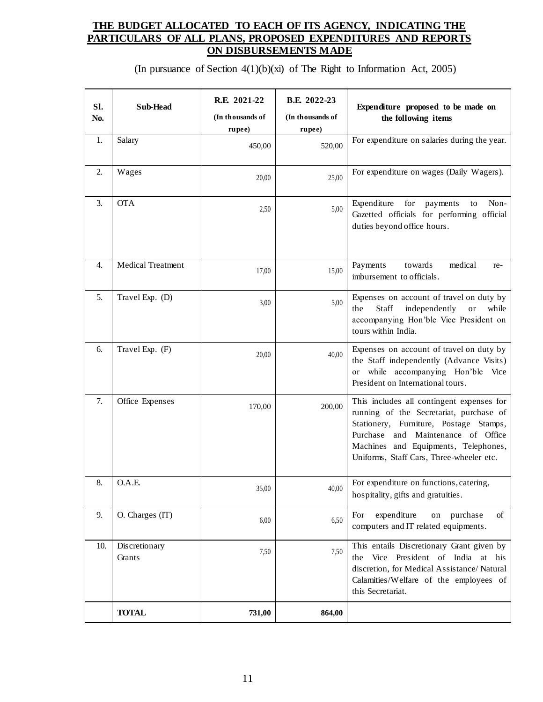# **THE BUDGET ALLOCATED TO EACH OF ITS AGENCY, INDICATING THE PARTICULARS OF ALL PLANS, PROPOSED EXPENDITURES AND REPORTS ON DISBURSEMENTS MADE**

(In pursuance of Section 4(1)(b)(xi) of The Right to Information Act, 2005)

| SI.<br>No. | Sub-Head                 | R.E. 2021-22<br>(In thousands of<br>rupee) | B.E. 2022-23<br>(In thousands of<br>rupee) | Expenditure proposed to be made on<br>the following items                                                                                                                                                                                                |
|------------|--------------------------|--------------------------------------------|--------------------------------------------|----------------------------------------------------------------------------------------------------------------------------------------------------------------------------------------------------------------------------------------------------------|
| 1.         | Salary                   | 450,00                                     | 520,00                                     | For expenditure on salaries during the year.                                                                                                                                                                                                             |
| 2.         | Wages                    | 20,00                                      | 25,00                                      | For expenditure on wages (Daily Wagers).                                                                                                                                                                                                                 |
| 3.         | <b>OTA</b>               | 2,50                                       | 5,00                                       | for<br>Non-<br>Expenditure<br>payments<br>to<br>Gazetted officials for performing official<br>duties beyond office hours.                                                                                                                                |
| 4.         | <b>Medical Treatment</b> | 17,00                                      | 15,00                                      | Payments<br>towards<br>medical<br>re-<br>imbursement to officials.                                                                                                                                                                                       |
| 5.         | Travel Exp. (D)          | 3,00                                       | 5,00                                       | Expenses on account of travel on duty by<br>Staff<br>independently<br>the<br><b>or</b><br>while<br>accompanying Hon'ble Vice President on<br>tours within India.                                                                                         |
| 6.         | Travel Exp. (F)          | 20,00                                      | 40,00                                      | Expenses on account of travel on duty by<br>the Staff independently (Advance Visits)<br>or while accompanying Hon'ble Vice<br>President on International tours.                                                                                          |
| 7.         | Office Expenses          | 170,00                                     | 200,00                                     | This includes all contingent expenses for<br>running of the Secretariat, purchase of<br>Stationery, Furniture, Postage Stamps,<br>Purchase and Maintenance of Office<br>Machines and Equipments, Telephones,<br>Uniforms, Staff Cars, Three-wheeler etc. |
| 8.         | O.A.E.                   | 35,00                                      | 40,00                                      | For expenditure on functions, catering,<br>hospitality, gifts and gratuities.                                                                                                                                                                            |
| 9.         | O. Charges (IT)          | 6,00                                       | 6,50                                       | expenditure<br>For<br>purchase<br>of<br>on<br>computers and IT related equipments.                                                                                                                                                                       |
| 10.        | Discretionary<br>Grants  | 7,50                                       | 7,50                                       | This entails Discretionary Grant given by<br>Vice President of India at his<br>the<br>discretion, for Medical Assistance/Natural<br>Calamities/Welfare of the employees of<br>this Secretariat.                                                          |
|            | <b>TOTAL</b>             | 731,00                                     | 864,00                                     |                                                                                                                                                                                                                                                          |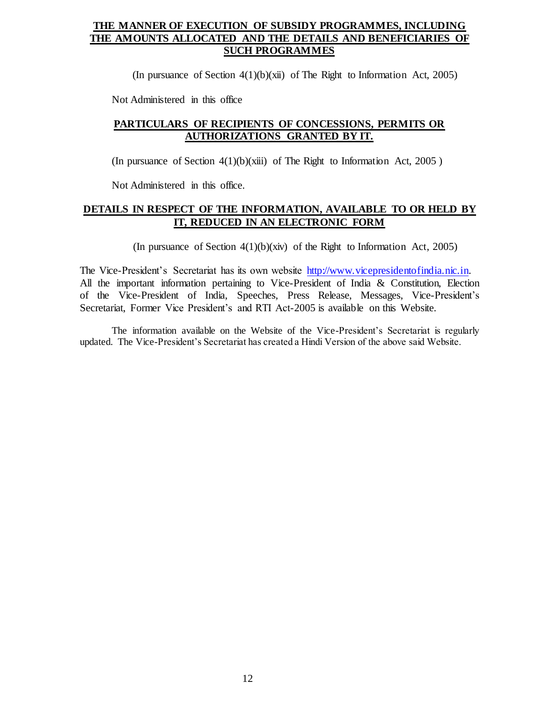# **THE MANNER OF EXECUTION OF SUBSIDY PROGRAMMES, INCLUDING THE AMOUNTS ALLOCATED AND THE DETAILS AND BENEFICIARIES OF SUCH PROGRAMMES**

(In pursuance of Section  $4(1)(b)(xii)$  of The Right to Information Act, 2005)

Not Administered in this office

# **PARTICULARS OF RECIPIENTS OF CONCESSIONS, PERMITS OR AUTHORIZATIONS GRANTED BY IT.**

(In pursuance of Section  $4(1)(b)(xiii)$  of The Right to Information Act, 2005)

Not Administered in this office.

### **DETAILS IN RESPECT OF THE INFORMATION, AVAILABLE TO OR HELD BY IT, REDUCED IN AN ELECTRONIC FORM**

(In pursuance of Section 4(1)(b)(xiv) of the Right to Information Act, 2005)

The Vice-President's Secretariat has its own website [http://www.vicepresidentofindia.nic.in.](http://www.vicepresidentofindia.nic.in/) All the important information pertaining to Vice-President of India & Constitution, Election of the Vice-President of India, Speeches, Press Release, Messages, Vice-President's Secretariat, Former Vice President's and RTI Act-2005 is available on this Website.

The information available on the Website of the Vice-President's Secretariat is regularly updated. The Vice-President's Secretariat has created a Hindi Version of the above said Website.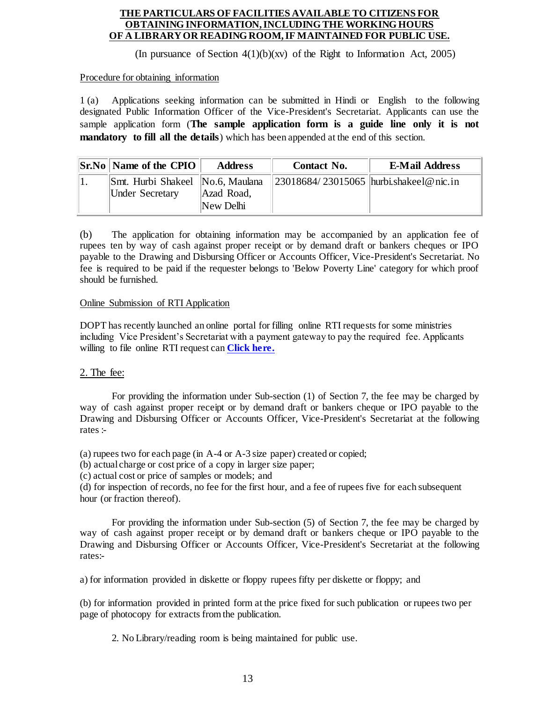#### **THE PARTICULARS OF FACILITIES AVAILABLE TO CITIZENS FOR OBTAINING INFORMATION, INCLUDING THE WORKING HOURS OF A LIBRARY OR READING ROOM, IF MAINTAINED FOR PUBLIC USE.**

(In pursuance of Section  $4(1)(b)(xy)$  of the Right to Information Act, 2005)

#### Procedure for obtaining information

1 (a) Applications seeking information can be submitted in Hindi or English to the following designated Public Information Officer of the Vice-President's Secretariat. Applicants can use the sample application form (**The sample application form is a guide line only it is not mandatory to fill all the details**) which has been appended at the end of this section.

| <b>Sr.No Name of the CPIO</b>                              | <b>Address</b>          | Contact No.                            | <b>E-Mail Address</b> |
|------------------------------------------------------------|-------------------------|----------------------------------------|-----------------------|
| Smt. Hurbi Shakeel No.6, Maulana<br><b>Under Secretary</b> | Azad Road,<br>New Delhi | 23018684/23015065 hurbi.shakeel@nic.in |                       |

(b) The application for obtaining information may be accompanied by an application fee of rupees ten by way of cash against proper receipt or by demand draft or bankers cheques or IPO payable to the Drawing and Disbursing Officer or Accounts Officer, Vice-President's Secretariat. No fee is required to be paid if the requester belongs to 'Below Poverty Line' category for which proof should be furnished.

### Online Submission of RTI Application

DOPT has recently launched an online portal for filling online RTI requests for some ministries including Vice President's Secretariat with a payment gateway to pay the required fee. Applicants willing to file online RTI request can **[Click here.](http://www.rtionline.gov.in/)**

### 2. The fee:

For providing the information under Sub-section (1) of Section 7, the fee may be charged by way of cash against proper receipt or by demand draft or bankers cheque or IPO payable to the Drawing and Disbursing Officer or Accounts Officer, Vice-President's Secretariat at the following rates :-

- (a) rupees two for each page (in A-4 or A-3 size paper) created or copied;
- (b) actual charge or cost price of a copy in larger size paper;
- (c) actual cost or price of samples or models; and

(d) for inspection of records, no fee for the first hour, and a fee of rupees five for each subsequent hour (or fraction thereof).

For providing the information under Sub-section (5) of Section 7, the fee may be charged by way of cash against proper receipt or by demand draft or bankers cheque or IPO payable to the Drawing and Disbursing Officer or Accounts Officer, Vice-President's Secretariat at the following rates:-

a) for information provided in diskette or floppy rupees fifty per diskette or floppy; and

(b) for information provided in printed form at the price fixed for such publication or rupees two per page of photocopy for extracts from the publication.

2. No Library/reading room is being maintained for public use.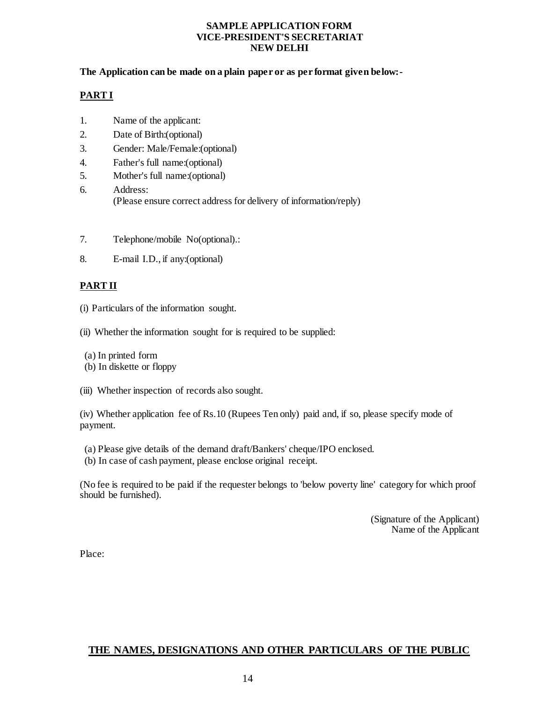#### **SAMPLE APPLICATION FORM VICE-PRESIDENT'S SECRETARIAT NEW DELHI**

### **The Application can be made on a plain paper or as per format given below:-**

### **PART I**

- 1. Name of the applicant:
- 2. Date of Birth:(optional)
- 3. Gender: Male/Female:(optional)
- 4. Father's full name:(optional)
- 5. Mother's full name:(optional)
- 6. Address: (Please ensure correct address for delivery of information/reply)
- 7. Telephone/mobile No(optional).:
- 8. E-mail I.D., if any:(optional)

# **PART II**

- (i) Particulars of the information sought.
- (ii) Whether the information sought for is required to be supplied:
- (a) In printed form
- (b) In diskette or floppy
- (iii) Whether inspection of records also sought.

(iv) Whether application fee of Rs.10 (Rupees Ten only) paid and, if so, please specify mode of payment.

- (a) Please give details of the demand draft/Bankers' cheque/IPO enclosed.
- (b) In case of cash payment, please enclose original receipt.

(No fee is required to be paid if the requester belongs to 'below poverty line' category for which proof should be furnished).

> (Signature of the Applicant) Name of the Applicant

Place:

# **THE NAMES, DESIGNATIONS AND OTHER PARTICULARS OF THE PUBLIC**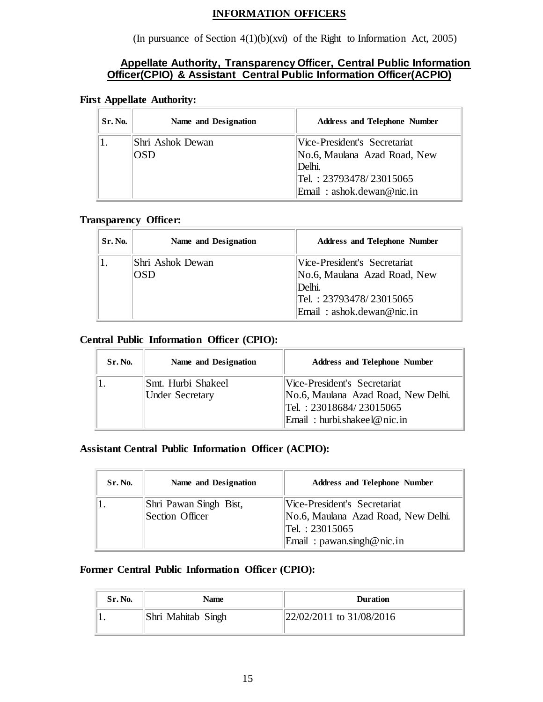### **INFORMATION OFFICERS**

(In pursuance of Section 4(1)(b)(xvi) of the Right to Information Act, 2005)

# **Appellate Authority, Transparency Officer, Central Public Information Officer(CPIO) & Assistant Central Public Information Officer(ACPIO)**

### **First Appellate Authority:**

| Sr. No. | Name and Designation | <b>Address and Telephone Number</b> |
|---------|----------------------|-------------------------------------|
|         | Shri Ashok Dewan     | Vice-President's Secretariat        |
|         | OSD                  | No.6, Maulana Azad Road, New        |
|         |                      | Delhi.                              |
|         |                      | Tel. : 23793478/23015065            |
|         |                      | Email: ashok.dewan@nic.in           |

### **Transparency Officer:**

| <b>Sr. No.</b> | Name and Designation    | <b>Address and Telephone Number</b>                                                                                               |
|----------------|-------------------------|-----------------------------------------------------------------------------------------------------------------------------------|
|                | Shri Ashok Dewan<br>OSD | Vice-President's Secretariat<br>No.6, Maulana Azad Road, New<br> Delhi.<br>Tel.: 23793478/23015065<br>Email: $ashok.dewan@nic.in$ |

### **Central Public Information Officer (CPIO):**

| Sr. No. | Name and Designation                         | <b>Address and Telephone Number</b>                                                                                           |
|---------|----------------------------------------------|-------------------------------------------------------------------------------------------------------------------------------|
|         | Smt. Hurbi Shakeel<br><b>Under Secretary</b> | Vice-President's Secretariat<br>No.6, Maulana Azad Road, New Delhi.<br>Tel.: 23018684/23015065<br>Email: hurbi.shakeel@nic.in |

# **Assistant Central Public Information Officer (ACPIO):**

| Sr. No. | Name and Designation                      | <b>Address and Telephone Number</b>                                                                                  |
|---------|-------------------------------------------|----------------------------------------------------------------------------------------------------------------------|
|         | Shri Pawan Singh Bist,<br>Section Officer | Vice-President's Secretariat<br>No.6, Maulana Azad Road, New Delhi.<br>Tel.: 23015065<br>Email: $pawan.singh@nic.in$ |

# **Former Central Public Information Officer (CPIO):**

| Sr. No. | <b>Name</b>        | <b>Duration</b>             |
|---------|--------------------|-----------------------------|
|         | Shri Mahitab Singh | $ 22/02/2011$ to 31/08/2016 |